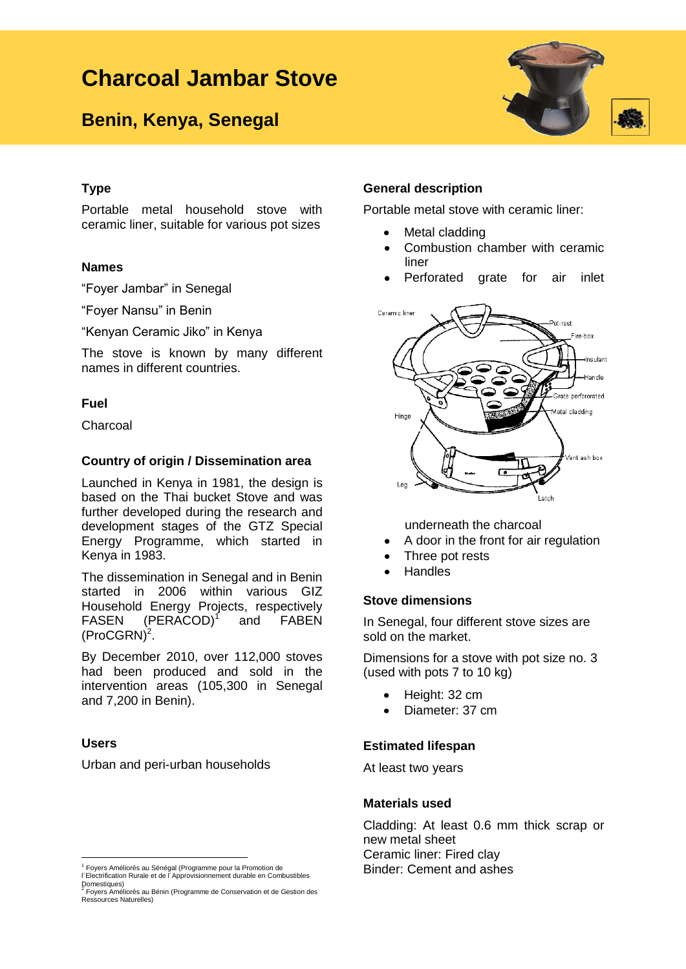# **Charcoal Jambar Stove**

## **Benin, Kenya, Senegal**



#### **Type**

Portable metal household stove with ceramic liner, suitable for various pot sizes

#### **Names**

"Foyer Jambar" in Senegal

"Foyer Nansu" in Benin

"Kenyan Ceramic Jiko" in Kenya

The stove is known by many different names in different countries.

#### **Fuel**

Charcoal

#### **Country of origin / Dissemination area**

Launched in Kenya in 1981, the design is based on the Thai bucket Stove and was further developed during the research and development stages of the GTZ Special Energy Programme, which started in Kenya in 1983.

The dissemination in Senegal and in Benin started in 2006 within various GIZ Household Energy Projects, respectively FASEN (PERACOD)<sup>1</sup> and FABEN  $(ProCGRN)<sup>2</sup>$ .

By December 2010, over 112,000 stoves had been produced and sold in the intervention areas (105,300 in Senegal and 7,200 in Benin).

#### **Users**

Urban and peri-urban households

#### **General description**

Portable metal stove with ceramic liner:

- Metal cladding
- Combustion chamber with ceramic liner
- Perforated grate for air inlet



underneath the charcoal

- A door in the front for air regulation
- Three pot rests
- **Handles**

#### **Stove dimensions**

In Senegal, four different stove sizes are sold on the market.

Dimensions for a stove with pot size no. 3 (used with pots 7 to 10 kg)

- Height: 32 cm  $\bullet$
- Diameter: 37 cm

#### **Estimated lifespan**

At least two years

#### **Materials used**

Cladding: At least 0.6 mm thick scrap or new metal sheet Ceramic liner: Fired clay Binder: Cement and ashes

<sup>&</sup>lt;u>-</u><br><sup>1</sup> Foyers Améliorés au Sénégal (Programme pour la Promotion de<br>l´Electrification Rurale et de l´Approvisionnement durable en Combustibles

Domestiques) 2 Foyers Améliorés au Bénin (Programme de Conservation et de Gestion des Ressources Naturelles)